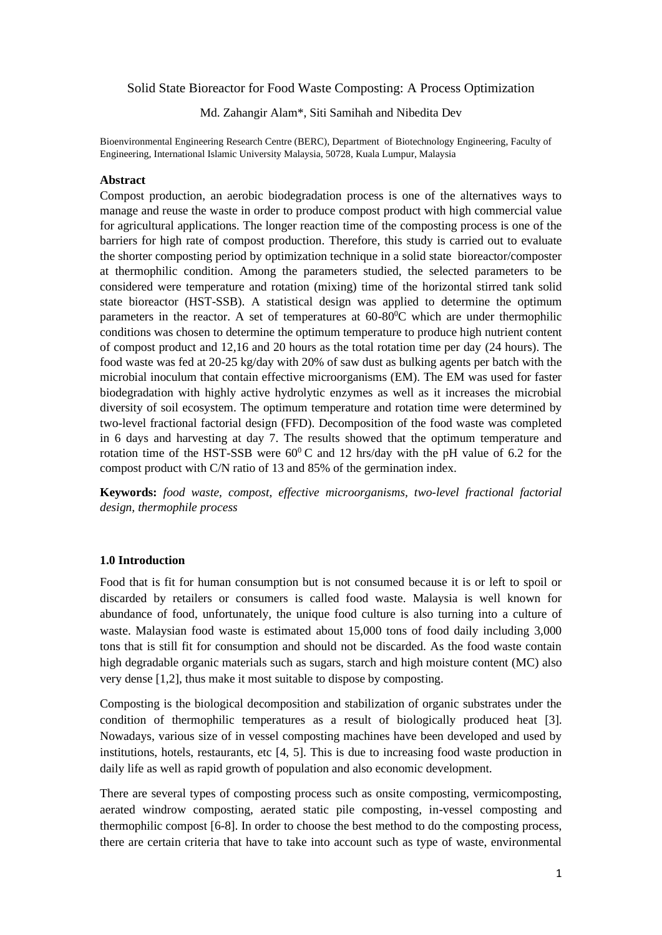### Solid State Bioreactor for Food Waste Composting: A Process Optimization

Md. Zahangir Alam\*, Siti Samihah and Nibedita Dev

Bioenvironmental Engineering Research Centre (BERC), Department of Biotechnology Engineering, Faculty of Engineering, International Islamic University Malaysia, 50728, Kuala Lumpur, Malaysia

#### **Abstract**

Compost production, an aerobic biodegradation process is one of the alternatives ways to manage and reuse the waste in order to produce compost product with high commercial value for agricultural applications. The longer reaction time of the composting process is one of the barriers for high rate of compost production. Therefore, this study is carried out to evaluate the shorter composting period by optimization technique in a solid state bioreactor/composter at thermophilic condition. Among the parameters studied, the selected parameters to be considered were temperature and rotation (mixing) time of the horizontal stirred tank solid state bioreactor (HST-SSB). A statistical design was applied to determine the optimum parameters in the reactor. A set of temperatures at  $60-80^{\circ}$ C which are under thermophilic conditions was chosen to determine the optimum temperature to produce high nutrient content of compost product and 12,16 and 20 hours as the total rotation time per day (24 hours). The food waste was fed at 20-25 kg/day with 20% of saw dust as bulking agents per batch with the microbial inoculum that contain effective microorganisms (EM). The EM was used for faster biodegradation with highly active hydrolytic enzymes as well as it increases the microbial diversity of soil ecosystem. The optimum temperature and rotation time were determined by two-level fractional factorial design (FFD). Decomposition of the food waste was completed in 6 days and harvesting at day 7. The results showed that the optimum temperature and rotation time of the HST-SSB were  $60^{\circ}$ C and 12 hrs/day with the pH value of 6.2 for the compost product with C/N ratio of 13 and 85% of the germination index.

**Keywords:** *food waste, compost, effective microorganisms, two-level fractional factorial design, thermophile process*

#### **1.0 Introduction**

Food that is fit for human consumption but is not consumed because it is or left to spoil or discarded by retailers or consumers is called food waste. Malaysia is well known for abundance of food, unfortunately, the unique food culture is also turning into a culture of waste. Malaysian food waste is estimated about 15,000 tons of food daily including 3,000 tons that is still fit for consumption and should not be discarded. As the food waste contain high degradable organic materials such as sugars, starch and high moisture content (MC) also very dense [1,2], thus make it most suitable to dispose by composting.

Composting is the biological decomposition and stabilization of organic substrates under the condition of thermophilic temperatures as a result of biologically produced heat [3]. Nowadays, various size of in vessel composting machines have been developed and used by institutions, hotels, restaurants, etc [4, 5]. This is due to increasing food waste production in daily life as well as rapid growth of population and also economic development.

There are several types of composting process such as onsite composting, vermicomposting, aerated windrow composting, aerated static pile composting, in-vessel composting and thermophilic compost [6-8]. In order to choose the best method to do the composting process, there are certain criteria that have to take into account such as type of waste, environmental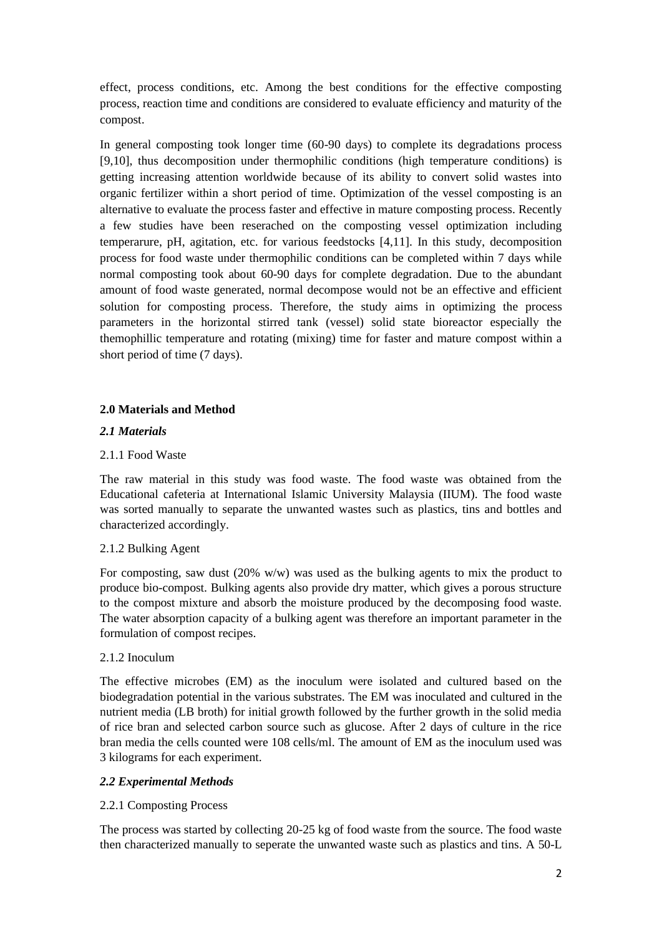effect, process conditions, etc. Among the best conditions for the effective composting process, reaction time and conditions are considered to evaluate efficiency and maturity of the compost.

In general composting took longer time (60-90 days) to complete its degradations process [9,10], thus decomposition under thermophilic conditions (high temperature conditions) is getting increasing attention worldwide because of its ability to convert solid wastes into organic fertilizer within a short period of time. Optimization of the vessel composting is an alternative to evaluate the process faster and effective in mature composting process. Recently a few studies have been reserached on the composting vessel optimization including temperarure, pH, agitation, etc. for various feedstocks [4,11]. In this study, decomposition process for food waste under thermophilic conditions can be completed within 7 days while normal composting took about 60-90 days for complete degradation. Due to the abundant amount of food waste generated, normal decompose would not be an effective and efficient solution for composting process. Therefore, the study aims in optimizing the process parameters in the horizontal stirred tank (vessel) solid state bioreactor especially the themophillic temperature and rotating (mixing) time for faster and mature compost within a short period of time (7 days).

## **2.0 Materials and Method**

### *2.1 Materials*

## 2.1.1 Food Waste

The raw material in this study was food waste. The food waste was obtained from the Educational cafeteria at International Islamic University Malaysia (IIUM). The food waste was sorted manually to separate the unwanted wastes such as plastics, tins and bottles and characterized accordingly.

#### 2.1.2 Bulking Agent

For composting, saw dust  $(20\% \text{ w/w})$  was used as the bulking agents to mix the product to produce bio-compost. Bulking agents also provide dry matter, which gives a porous structure to the compost mixture and absorb the moisture produced by the decomposing food waste. The water absorption capacity of a bulking agent was therefore an important parameter in the formulation of compost recipes.

#### 2.1.2 Inoculum

The effective microbes (EM) as the inoculum were isolated and cultured based on the biodegradation potential in the various substrates. The EM was inoculated and cultured in the nutrient media (LB broth) for initial growth followed by the further growth in the solid media of rice bran and selected carbon source such as glucose. After 2 days of culture in the rice bran media the cells counted were 108 cells/ml. The amount of EM as the inoculum used was 3 kilograms for each experiment.

#### *2.2 Experimental Methods*

### 2.2.1 Composting Process

The process was started by collecting 20-25 kg of food waste from the source. The food waste then characterized manually to seperate the unwanted waste such as plastics and tins. A 50-L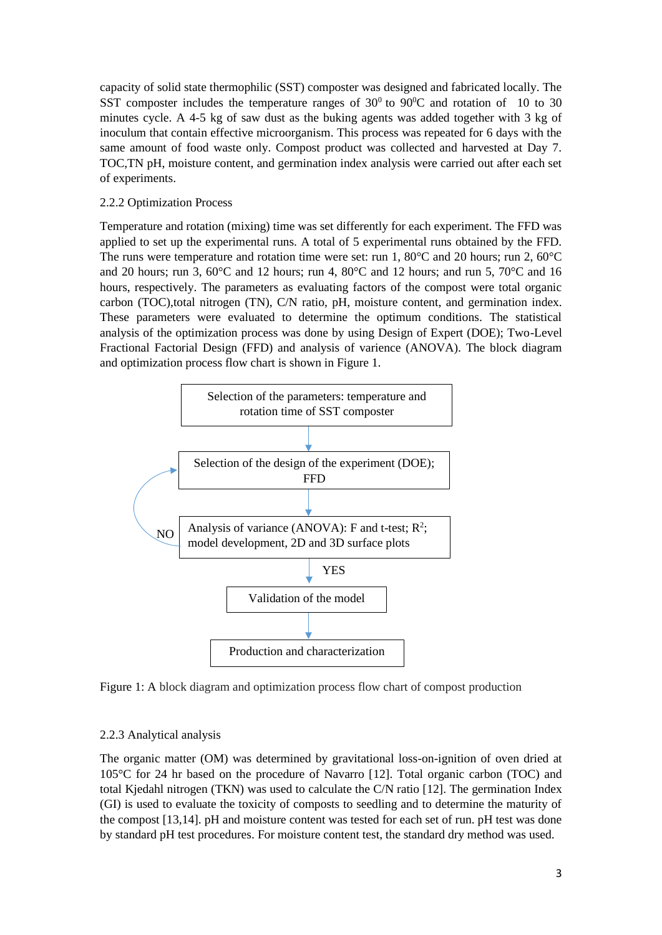capacity of solid state thermophilic (SST) composter was designed and fabricated locally. The SST composter includes the temperature ranges of  $30^0$  to  $90^0C$  and rotation of 10 to 30 minutes cycle. A 4-5 kg of saw dust as the buking agents was added together with 3 kg of inoculum that contain effective microorganism. This process was repeated for 6 days with the same amount of food waste only. Compost product was collected and harvested at Day 7. TOC,TN pH, moisture content, and germination index analysis were carried out after each set of experiments.

## 2.2.2 Optimization Process

Temperature and rotation (mixing) time was set differently for each experiment. The FFD was applied to set up the experimental runs. A total of 5 experimental runs obtained by the FFD. The runs were temperature and rotation time were set: run 1, 80 $^{\circ}$ C and 20 hours; run 2, 60 $^{\circ}$ C and 20 hours; run 3, 60°C and 12 hours; run 4, 80°C and 12 hours; and run 5, 70°C and 16 hours, respectively. The parameters as evaluating factors of the compost were total organic carbon (TOC),total nitrogen (TN), C/N ratio, pH, moisture content, and germination index. These parameters were evaluated to determine the optimum conditions. The statistical analysis of the optimization process was done by using Design of Expert (DOE); Two-Level Fractional Factorial Design (FFD) and analysis of varience (ANOVA). The block diagram and optimization process flow chart is shown in Figure 1.



Figure 1: A block diagram and optimization process flow chart of compost production

#### 2.2.3 Analytical analysis

The organic matter (OM) was determined by gravitational loss-on-ignition of oven dried at 105°C for 24 hr based on the procedure of Navarro [12]. Total organic carbon (TOC) and total Kjedahl nitrogen (TKN) was used to calculate the C/N ratio [12]. The germination Index (GI) is used to evaluate the toxicity of composts to seedling and to determine the maturity of the compost [13,14]. pH and moisture content was tested for each set of run. pH test was done by standard pH test procedures. For moisture content test, the standard dry method was used.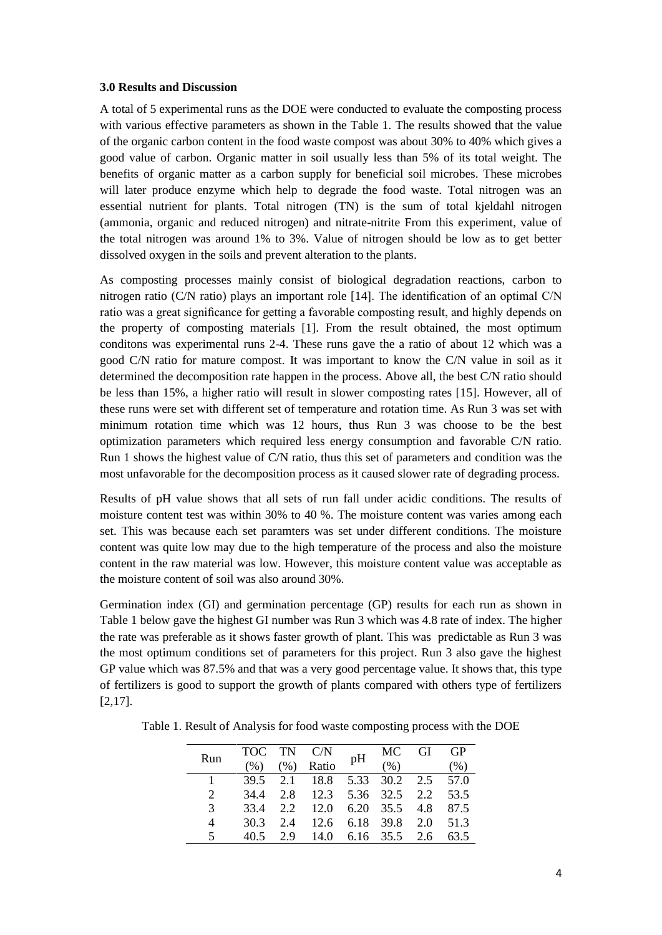### **3.0 Results and Discussion**

A total of 5 experimental runs as the DOE were conducted to evaluate the composting process with various effective parameters as shown in the Table 1. The results showed that the value of the organic carbon content in the food waste compost was about 30% to 40% which gives a good value of carbon. Organic matter in soil usually less than 5% of its total weight. The benefits of organic matter as a carbon supply for beneficial soil microbes. These microbes will later produce enzyme which help to degrade the food waste. Total nitrogen was an essential nutrient for plants. Total nitrogen (TN) is the sum of total kjeldahl nitrogen (ammonia, organic and reduced nitrogen) and nitrate-nitrite From this experiment, value of the total nitrogen was around 1% to 3%. Value of nitrogen should be low as to get better dissolved oxygen in the soils and prevent alteration to the plants.

As composting processes mainly consist of biological degradation reactions, carbon to nitrogen ratio (C/N ratio) plays an important role [14]. The identification of an optimal C/N ratio was a great significance for getting a favorable composting result, and highly depends on the property of composting materials [1]. From the result obtained, the most optimum conditons was experimental runs 2-4. These runs gave the a ratio of about 12 which was a good C/N ratio for mature compost. It was important to know the C/N value in soil as it determined the decomposition rate happen in the process. Above all, the best C/N ratio should be less than 15%, a higher ratio will result in slower composting rates [15]. However, all of these runs were set with different set of temperature and rotation time. As Run 3 was set with minimum rotation time which was 12 hours, thus Run 3 was choose to be the best optimization parameters which required less energy consumption and favorable C/N ratio. Run 1 shows the highest value of C/N ratio, thus this set of parameters and condition was the most unfavorable for the decomposition process as it caused slower rate of degrading process.

Results of pH value shows that all sets of run fall under acidic conditions. The results of moisture content test was within 30% to 40 %. The moisture content was varies among each set. This was because each set paramters was set under different conditions. The moisture content was quite low may due to the high temperature of the process and also the moisture content in the raw material was low. However, this moisture content value was acceptable as the moisture content of soil was also around 30%.

Germination index (GI) and germination percentage (GP) results for each run as shown in Table 1 below gave the highest GI number was Run 3 which was 4.8 rate of index. The higher the rate was preferable as it shows faster growth of plant. This was predictable as Run 3 was the most optimum conditions set of parameters for this project. Run 3 also gave the highest GP value which was 87.5% and that was a very good percentage value. It shows that, this type of fertilizers is good to support the growth of plants compared with others type of fertilizers [2,17].

| Run                         |      |      |                                  | TOC TN C/N pH |      | MC GI GP |      |
|-----------------------------|------|------|----------------------------------|---------------|------|----------|------|
|                             | (%)  | (% ) | Ratio                            |               | (% ) |          | (% ) |
|                             |      |      | 39.5 2.1 18.8 5.33 30.2 2.5 57.0 |               |      |          |      |
| $\mathcal{D}_{\mathcal{L}}$ |      |      | 34.4 2.8 12.3 5.36 32.5 2.2 53.5 |               |      |          |      |
| $\mathcal{R}$               |      |      | 33.4 2.2 12.0 6.20 35.5 4.8 87.5 |               |      |          |      |
| 4                           | 30.3 |      | 2.4 12.6 6.18 39.8 2.0 51.3      |               |      |          |      |
|                             |      |      | 2.9 14.0 6.16 35.5 2.6           |               |      |          | 63.5 |

Table 1. Result of Analysis for food waste composting process with the DOE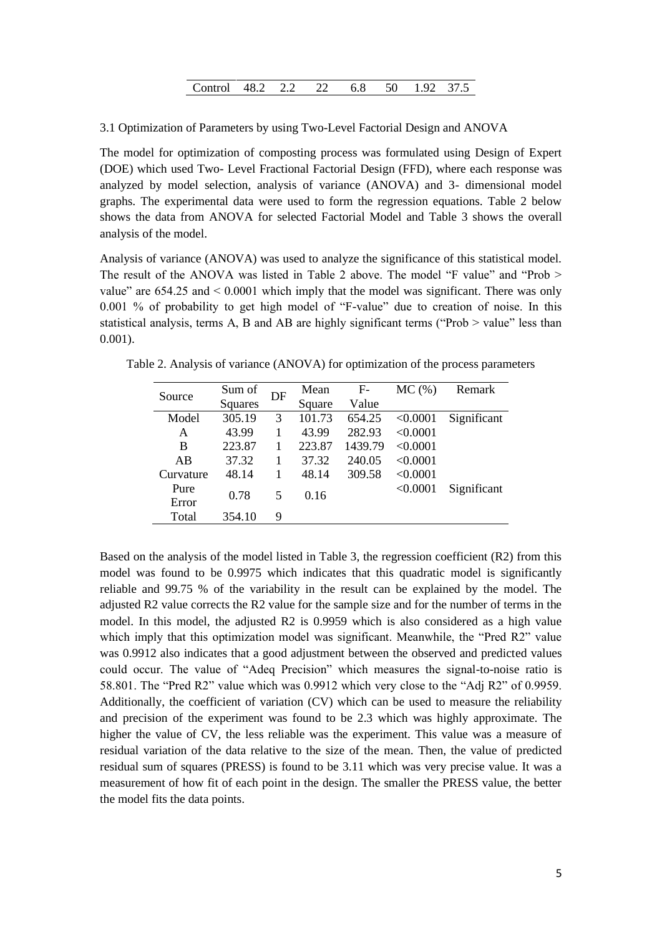| Control 48.2 2.2 22 6.8 50 1.92 37.5 |  |  |  |  |  |  |  |
|--------------------------------------|--|--|--|--|--|--|--|
|--------------------------------------|--|--|--|--|--|--|--|

3.1 Optimization of Parameters by using Two-Level Factorial Design and ANOVA

The model for optimization of composting process was formulated using Design of Expert (DOE) which used Two- Level Fractional Factorial Design (FFD), where each response was analyzed by model selection, analysis of variance (ANOVA) and 3- dimensional model graphs. The experimental data were used to form the regression equations. Table 2 below shows the data from ANOVA for selected Factorial Model and Table 3 shows the overall analysis of the model.

Analysis of variance (ANOVA) was used to analyze the significance of this statistical model. The result of the ANOVA was listed in Table 2 above. The model "F value" and "Prob > value" are  $654.25$  and  $\leq 0.0001$  which imply that the model was significant. There was only 0.001 % of probability to get high model of "F-value" due to creation of noise. In this statistical analysis, terms A, B and AB are highly significant terms ("Prob > value" less than 0.001).

Table 2. Analysis of variance (ANOVA) for optimization of the process parameters

| Source    | Sum of  | DF | Mean   | $F-$    | $MC$ $(\%)$ | Remark      |
|-----------|---------|----|--------|---------|-------------|-------------|
|           | Squares |    | Square | Value   |             |             |
| Model     | 305.19  | 3  | 101.73 | 654.25  | < 0.0001    | Significant |
| A         | 43.99   |    | 43.99  | 282.93  | < 0.0001    |             |
| B         | 223.87  |    | 223.87 | 1439.79 | < 0.0001    |             |
| AB        | 37.32   |    | 37.32  | 240.05  | < 0.0001    |             |
| Curvature | 48.14   |    | 48.14  | 309.58  | < 0.0001    |             |
| Pure      | 0.78    | 5  | 0.16   |         | < 0.0001    | Significant |
| Error     |         |    |        |         |             |             |
| Total     | 354.10  | 9  |        |         |             |             |

Based on the analysis of the model listed in Table 3, the regression coefficient (R2) from this model was found to be 0.9975 which indicates that this quadratic model is significantly reliable and 99.75 % of the variability in the result can be explained by the model. The adjusted R2 value corrects the R2 value for the sample size and for the number of terms in the model. In this model, the adjusted R2 is 0.9959 which is also considered as a high value which imply that this optimization model was significant. Meanwhile, the "Pred R2" value was 0.9912 also indicates that a good adjustment between the observed and predicted values could occur. The value of "Adeq Precision" which measures the signal-to-noise ratio is 58.801. The "Pred R2" value which was 0.9912 which very close to the "Adj R2" of 0.9959. Additionally, the coefficient of variation (CV) which can be used to measure the reliability and precision of the experiment was found to be 2.3 which was highly approximate. The higher the value of CV, the less reliable was the experiment. This value was a measure of residual variation of the data relative to the size of the mean. Then, the value of predicted residual sum of squares (PRESS) is found to be 3.11 which was very precise value. It was a measurement of how fit of each point in the design. The smaller the PRESS value, the better the model fits the data points.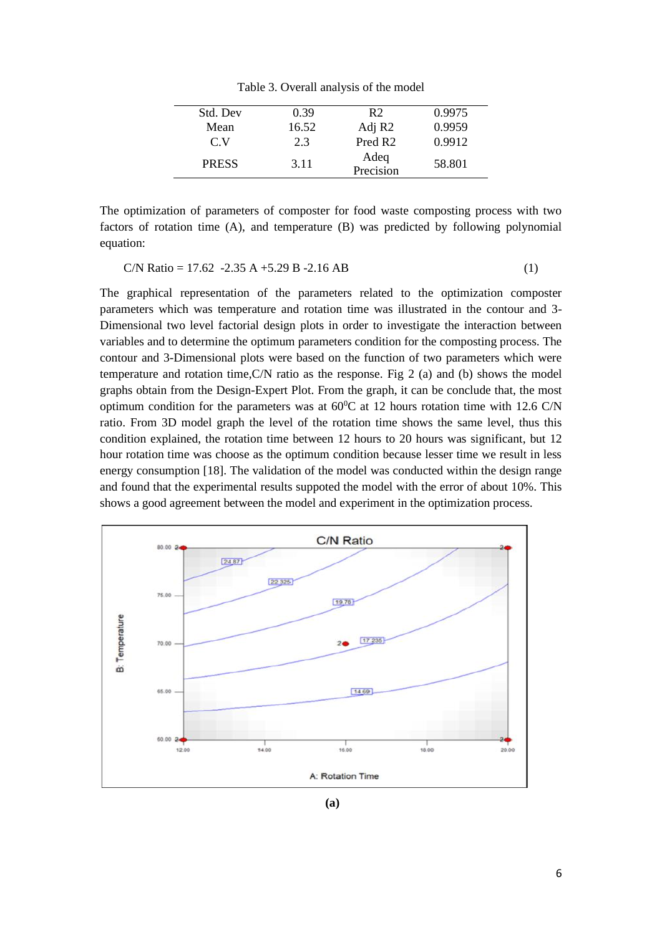Table 3. Overall analysis of the model

| Std. Dev     | 0.39  | R2                  | 0.9975 |
|--------------|-------|---------------------|--------|
| Mean         | 16.52 | Adj R <sub>2</sub>  | 0.9959 |
| C V          | 2.3   | Pred R <sub>2</sub> | 0.9912 |
| <b>PRESS</b> | 3.11  | Adeq<br>Precision   | 58.801 |
|              |       |                     |        |

The optimization of parameters of composter for food waste composting process with two factors of rotation time (A), and temperature (B) was predicted by following polynomial equation:

$$
C/N \text{ Ratio} = 17.62 - 2.35 \text{ A} + 5.29 \text{ B} - 2.16 \text{ AB}
$$
 (1)

The graphical representation of the parameters related to the optimization composter parameters which was temperature and rotation time was illustrated in the contour and 3- Dimensional two level factorial design plots in order to investigate the interaction between variables and to determine the optimum parameters condition for the composting process. The contour and 3-Dimensional plots were based on the function of two parameters which were temperature and rotation time, $C/N$  ratio as the response. Fig 2 (a) and (b) shows the model graphs obtain from the Design-Expert Plot. From the graph, it can be conclude that, the most optimum condition for the parameters was at  $60^{\circ}$ C at 12 hours rotation time with 12.6 C/N ratio. From 3D model graph the level of the rotation time shows the same level, thus this condition explained, the rotation time between 12 hours to 20 hours was significant, but 12 hour rotation time was choose as the optimum condition because lesser time we result in less energy consumption [18]. The validation of the model was conducted within the design range and found that the experimental results suppoted the model with the error of about 10%. This shows a good agreement between the model and experiment in the optimization process.



**(a)**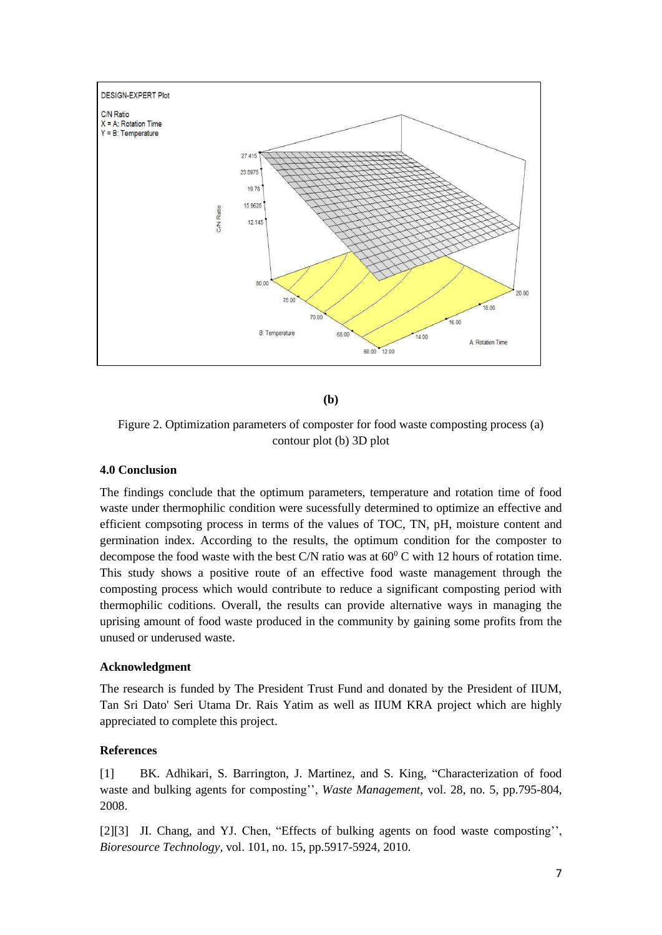

**(b)**

Figure 2. Optimization parameters of composter for food waste composting process (a) contour plot (b) 3D plot

## **4.0 Conclusion**

The findings conclude that the optimum parameters, temperature and rotation time of food waste under thermophilic condition were sucessfully determined to optimize an effective and efficient compsoting process in terms of the values of TOC, TN, pH, moisture content and germination index. According to the results, the optimum condition for the composter to decompose the food waste with the best C/N ratio was at  $60^{\circ}$ C with 12 hours of rotation time. This study shows a positive route of an effective food waste management through the composting process which would contribute to reduce a significant composting period with thermophilic coditions. Overall, the results can provide alternative ways in managing the uprising amount of food waste produced in the community by gaining some profits from the unused or underused waste.

## **Acknowledgment**

The research is funded by The President Trust Fund and donated by the President of IIUM, Tan Sri Dato' Seri Utama Dr. Rais Yatim as well as IIUM KRA project which are highly appreciated to complete this project.

# **References**

[1] BK. Adhikari, S. Barrington, J. Martinez, and S. King, "Characterization of food waste and bulking agents for composting'', *Waste Management,* vol. 28, no. 5, pp.795-804, 2008.

[2][3] JI. Chang, and YJ. Chen, "Effects of bulking agents on food waste composting", *Bioresource Technology,* vol. 101, no. 15, pp.5917-5924, 2010.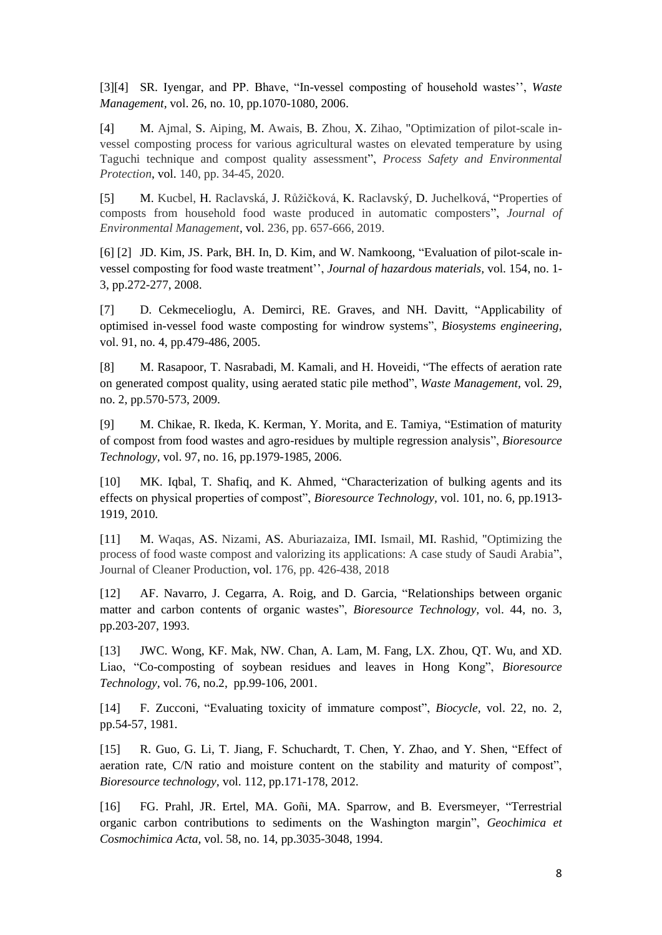[3][4] SR. Iyengar, and PP. Bhave, "In-vessel composting of household wastes'', *Waste Management,* vol. 26, no. 10, pp.1070-1080, 2006.

[4] M. [Ajmal, S](https://www-scopus-com.ezlib.iium.edu.my/authid/detail.uri?origin=resultslist&authorId=57216255418&zone=). [Aiping, M](https://www-scopus-com.ezlib.iium.edu.my/authid/detail.uri?origin=resultslist&authorId=57216757437&zone=). [Awais, B](https://www-scopus-com.ezlib.iium.edu.my/authid/detail.uri?origin=resultslist&authorId=57215409167&zone=). [Zhou, X](https://www-scopus-com.ezlib.iium.edu.my/authid/detail.uri?origin=resultslist&authorId=57194396070&zone=). [Zihao,](https://www-scopus-com.ezlib.iium.edu.my/authid/detail.uri?origin=resultslist&authorId=57216765890&zone=) ["Optimization of pilot-scale in](https://www-scopus-com.ezlib.iium.edu.my/record/display.uri?eid=2-s2.0-85084602553&origin=resultslist&sort=plf-f&src=s&st1=compost&st2=vessel+composter&sid=faebfa4e925646af95f2f04534af01c6&sot=b&sdt=b&sl=52&s=%28TITLE%28compost%29+AND+TITLE-ABS-KEY%28vessel+composter%29%29&relpos=0&citeCnt=1&searchTerm=)[vessel composting process for various agricultural wastes on elevated temperature by using](https://www-scopus-com.ezlib.iium.edu.my/record/display.uri?eid=2-s2.0-85084602553&origin=resultslist&sort=plf-f&src=s&st1=compost&st2=vessel+composter&sid=faebfa4e925646af95f2f04534af01c6&sot=b&sdt=b&sl=52&s=%28TITLE%28compost%29+AND+TITLE-ABS-KEY%28vessel+composter%29%29&relpos=0&citeCnt=1&searchTerm=)  [Taguchi technique and compost quality assessment"](https://www-scopus-com.ezlib.iium.edu.my/record/display.uri?eid=2-s2.0-85084602553&origin=resultslist&sort=plf-f&src=s&st1=compost&st2=vessel+composter&sid=faebfa4e925646af95f2f04534af01c6&sot=b&sdt=b&sl=52&s=%28TITLE%28compost%29+AND+TITLE-ABS-KEY%28vessel+composter%29%29&relpos=0&citeCnt=1&searchTerm=), *[Process Safety and Environmental](https://www-scopus-com.ezlib.iium.edu.my/sourceid/13754?origin=resultslist)  [Protection](https://www-scopus-com.ezlib.iium.edu.my/sourceid/13754?origin=resultslist)*, vol. 140, pp. 34-45, 2020.

[5] M. [Kucbel, H](https://www-scopus-com.ezlib.iium.edu.my/authid/detail.uri?origin=resultslist&authorId=56845728100&zone=). [Raclavská, J](https://www-scopus-com.ezlib.iium.edu.my/authid/detail.uri?origin=resultslist&authorId=23976553600&zone=). [Růžičková, K](https://www-scopus-com.ezlib.iium.edu.my/authid/detail.uri?origin=resultslist&authorId=57194420275&zone=). [Raclavský, D](https://www-scopus-com.ezlib.iium.edu.my/authid/detail.uri?origin=resultslist&authorId=56781469900&zone=). [Juchelková,](https://www-scopus-com.ezlib.iium.edu.my/authid/detail.uri?origin=resultslist&authorId=25228856700&zone=) ["Properties of](https://www-scopus-com.ezlib.iium.edu.my/record/display.uri?eid=2-s2.0-85061666543&origin=resultslist&sort=plf-f&src=s&st1=compost&st2=vessel+composter&sid=faebfa4e925646af95f2f04534af01c6&sot=b&sdt=b&sl=52&s=%28TITLE%28compost%29+AND+TITLE-ABS-KEY%28vessel+composter%29%29&relpos=1&citeCnt=12&searchTerm=)  [composts from household food waste produced in automatic composters"](https://www-scopus-com.ezlib.iium.edu.my/record/display.uri?eid=2-s2.0-85061666543&origin=resultslist&sort=plf-f&src=s&st1=compost&st2=vessel+composter&sid=faebfa4e925646af95f2f04534af01c6&sot=b&sdt=b&sl=52&s=%28TITLE%28compost%29+AND+TITLE-ABS-KEY%28vessel+composter%29%29&relpos=1&citeCnt=12&searchTerm=), *[Journal of](https://www-scopus-com.ezlib.iium.edu.my/sourceid/23371?origin=resultslist)  [Environmental Management](https://www-scopus-com.ezlib.iium.edu.my/sourceid/23371?origin=resultslist)*, vol. 236, pp. 657-666, 2019.

[6] [2] JD. Kim, JS. Park, BH. In, D. Kim, and W. Namkoong, "Evaluation of pilot-scale invessel composting for food waste treatment'', *Journal of hazardous materials,* vol. 154, no. 1- 3, pp.272-277, 2008.

[7] D. Cekmecelioglu, A. Demirci, RE. Graves, and NH. Davitt, "Applicability of optimised in-vessel food waste composting for windrow systems", *Biosystems engineering,* vol. 91, no. 4, pp.479-486, 2005.

[8] M. Rasapoor, T. Nasrabadi, M. Kamali, and H. Hoveidi, "The effects of aeration rate on generated compost quality, using aerated static pile method", *Waste Management,* vol. 29, no. 2, pp.570-573, 2009.

[9] M. Chikae, R. Ikeda, K. Kerman, Y. Morita, and E. Tamiya, "Estimation of maturity of compost from food wastes and agro-residues by multiple regression analysis", *Bioresource Technology,* vol. 97, no. 16, pp.1979-1985, 2006.

[10] MK. Iqbal, T. Shafiq, and K. Ahmed, "Characterization of bulking agents and its effects on physical properties of compost", *Bioresource Technology,* vol. 101, no. 6, pp.1913- 1919, 2010.

[11] M. [Waqas, A](https://www-scopus-com.ezlib.iium.edu.my/authid/detail.uri?origin=resultslist&authorId=57197481881&zone=)S. [Nizami, A](https://www-scopus-com.ezlib.iium.edu.my/authid/detail.uri?origin=resultslist&authorId=56962771300&zone=)S. [Aburiazaiza, I](https://www-scopus-com.ezlib.iium.edu.my/authid/detail.uri?origin=resultslist&authorId=57190069823&zone=)MI. [Ismail, M](https://www-scopus-com.ezlib.iium.edu.my/authid/detail.uri?origin=resultslist&authorId=55940884000&zone=)I. [Rashid,](https://www-scopus-com.ezlib.iium.edu.my/authid/detail.uri?origin=resultslist&authorId=55314836000&zone=) ["Optimizing the](https://www-scopus-com.ezlib.iium.edu.my/record/display.uri?eid=2-s2.0-85040660244&origin=resultslist&sort=plf-f&src=s&st1=compost&st2=food+waste&nlo=&nlr=&nls=&sid=ca131c994a6d57755ef30c7f11633727&sot=b&sdt=b&sl=38&s=%28TITLE%28compost%29+AND+TITLE%28food+waste%29%29&relpos=25&citeCnt=30&searchTerm=)  [process of food waste compost and valorizing its applications: A case study of Saudi Arabia"](https://www-scopus-com.ezlib.iium.edu.my/record/display.uri?eid=2-s2.0-85040660244&origin=resultslist&sort=plf-f&src=s&st1=compost&st2=food+waste&nlo=&nlr=&nls=&sid=ca131c994a6d57755ef30c7f11633727&sot=b&sdt=b&sl=38&s=%28TITLE%28compost%29+AND+TITLE%28food+waste%29%29&relpos=25&citeCnt=30&searchTerm=), [Journal of Cleaner Production,](https://www-scopus-com.ezlib.iium.edu.my/sourceid/19167?origin=resultslist) vol. 176, pp. 426-438, 2018

[12] AF. Navarro, J. Cegarra, A. Roig, and D. Garcia, "Relationships between organic matter and carbon contents of organic wastes", *Bioresource Technology,* vol. 44, no. 3, pp.203-207, 1993.

[13] JWC. Wong, KF. Mak, NW. Chan, A. Lam, M. Fang, LX. Zhou, QT. Wu, and XD. Liao, "Co-composting of soybean residues and leaves in Hong Kong", *Bioresource Technology,* vol. 76, no.2, pp.99-106, 2001.

[14] F. Zucconi, "Evaluating toxicity of immature compost", *Biocycle,* vol. 22, no. 2, pp.54-57, 1981.

[15] R. Guo, G. Li, T. Jiang, F. Schuchardt, T. Chen, Y. Zhao, and Y. Shen, "Effect of aeration rate, C/N ratio and moisture content on the stability and maturity of compost", *Bioresource technology,* vol. 112, pp.171-178, 2012.

[16] FG. Prahl, JR. Ertel, MA. Goñi, MA. Sparrow, and B. Eversmeyer, "Terrestrial organic carbon contributions to sediments on the Washington margin", *Geochimica et Cosmochimica Acta,* vol. 58, no. 14, pp.3035-3048, 1994.